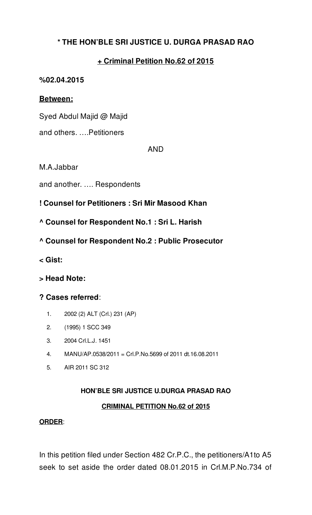## **\* THE HON'BLE SRI JUSTICE U. DURGA PRASAD RAO**

## **+ Criminal Petition No.62 of 2015**

#### **%02.04.2015**

## **Between:**

Syed Abdul Majid @ Majid

and others. ….Petitioners

#### AND

M.A.Jabbar

and another. …. Respondents

## **! Counsel for Petitioners : Sri Mir Masood Khan**

- **^ Counsel for Respondent No.1 : Sri L. Harish**
- **^ Counsel for Respondent No.2 : Public Prosecutor**
- **< Gist:**
- **> Head Note:**

## **? Cases referred**:

- 1. 2002 (2) ALT (Crl.) 231 (AP)
- 2. (1995) 1 SCC 349
- 3. 2004 Crl.L.J. 1451
- 4. MANU/AP.0538/2011 = Crl.P.No.5699 of 2011 dt.16.08.2011
- 5. AIR 2011 SC 312

# **HON'BLE SRI JUSTICE U.DURGA PRASAD RAO**

## **CRIMINAL PETITION No.62 of 2015**

#### **ORDER**:

In this petition filed under Section 482 Cr.P.C., the petitioners/A1to A5 seek to set aside the order dated 08.01.2015 in Crl.M.P.No.734 of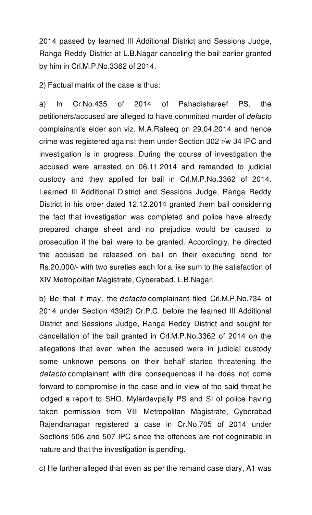2014 passed by learned III Additional District and Sessions Judge, Ranga Reddy District at L.B.Nagar canceling the bail earlier granted by him in Crl.M.P.No.3362 of 2014.

2) Factual matrix of the case is thus:

a) In Cr.No.435 of 2014 of Pahadishareef PS, the petitioners/accused are alleged to have committed murder of *defacto* complainant's elder son viz. M.A.Rafeeq on 29.04.2014 and hence crime was registered against them under Section 302 r/w 34 IPC and investigation is in progress. During the course of investigation the accused were arrested on 06.11.2014 and remanded to judicial custody and they applied for bail in Crl.M.P.No.3362 of 2014. Learned III Additional District and Sessions Judge, Ranga Reddy District in his order dated 12.12.2014 granted them bail considering the fact that investigation was completed and police have already prepared charge sheet and no prejudice would be caused to prosecution if the bail were to be granted. Accordingly, he directed the accused be released on bail on their executing bond for Rs.20,000/- with two sureties each for a like sum to the satisfaction of XIV Metropolitan Magistrate, Cyberabad, L.B.Nagar.

b) Be that it may, the *defacto* complainant filed Crl.M.P.No.734 of 2014 under Section 439(2) Cr.P.C. before the learned III Additional District and Sessions Judge, Ranga Reddy District and sought for cancellation of the bail granted in Crl.M.P.No.3362 of 2014 on the allegations that even when the accused were in judicial custody some unknown persons on their behalf started threatening the *defacto* complainant with dire consequences if he does not come forward to compromise in the case and in view of the said threat he lodged a report to SHO, Mylardevpally PS and SI of police having taken permission from VIII Metropolitan Magistrate, Cyberabad Rajendranagar registered a case in Cr.No.705 of 2014 under Sections 506 and 507 IPC since the offences are not cognizable in nature and that the investigation is pending.

c) He further alleged that even as per the remand case diary, A1 was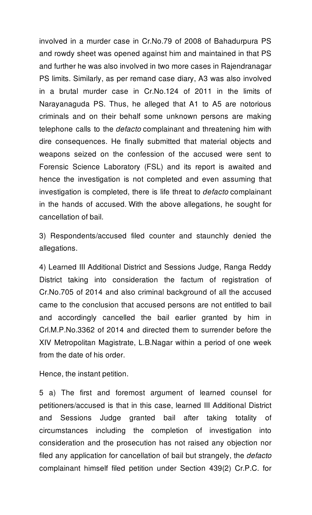involved in a murder case in Cr.No.79 of 2008 of Bahadurpura PS and rowdy sheet was opened against him and maintained in that PS and further he was also involved in two more cases in Rajendranagar PS limits. Similarly, as per remand case diary, A3 was also involved in a brutal murder case in Cr.No.124 of 2011 in the limits of Narayanaguda PS. Thus, he alleged that A1 to A5 are notorious criminals and on their behalf some unknown persons are making telephone calls to the *defacto* complainant and threatening him with dire consequences. He finally submitted that material objects and weapons seized on the confession of the accused were sent to Forensic Science Laboratory (FSL) and its report is awaited and hence the investigation is not completed and even assuming that investigation is completed, there is life threat to *defacto* complainant in the hands of accused. With the above allegations, he sought for cancellation of bail.

3) Respondents/accused filed counter and staunchly denied the allegations.

4) Learned III Additional District and Sessions Judge, Ranga Reddy District taking into consideration the factum of registration of Cr.No.705 of 2014 and also criminal background of all the accused came to the conclusion that accused persons are not entitled to bail and accordingly cancelled the bail earlier granted by him in Crl.M.P.No.3362 of 2014 and directed them to surrender before the XIV Metropolitan Magistrate, L.B.Nagar within a period of one week from the date of his order.

Hence, the instant petition.

5 a) The first and foremost argument of learned counsel for petitioners/accused is that in this case, learned III Additional District and Sessions Judge granted bail after taking totality of circumstances including the completion of investigation into consideration and the prosecution has not raised any objection nor filed any application for cancellation of bail but strangely, the *defacto* complainant himself filed petition under Section 439(2) Cr.P.C. for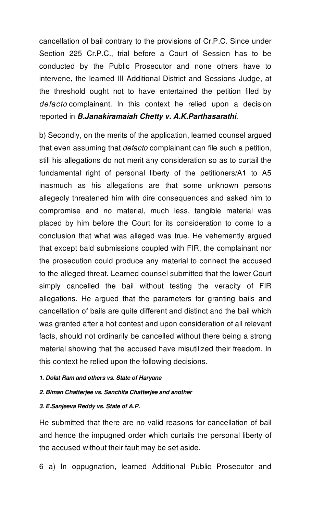cancellation of bail contrary to the provisions of Cr.P.C. Since under Section 225 Cr.P.C., trial before a Court of Session has to be conducted by the Public Prosecutor and none others have to intervene, the learned III Additional District and Sessions Judge, at the threshold ought not to have entertained the petition filed by *defacto* complainant. In this context he relied upon a decision reported in *B.Janakiramaiah Chetty v. A.K.Parthasarathi*.

b) Secondly, on the merits of the application, learned counsel argued that even assuming that *defacto* complainant can file such a petition, still his allegations do not merit any consideration so as to curtail the fundamental right of personal liberty of the petitioners/A1 to A5 inasmuch as his allegations are that some unknown persons allegedly threatened him with dire consequences and asked him to compromise and no material, much less, tangible material was placed by him before the Court for its consideration to come to a conclusion that what was alleged was true. He vehemently argued that except bald submissions coupled with FIR, the complainant nor the prosecution could produce any material to connect the accused to the alleged threat. Learned counsel submitted that the lower Court simply cancelled the bail without testing the veracity of FIR allegations. He argued that the parameters for granting bails and cancellation of bails are quite different and distinct and the bail which was granted after a hot contest and upon consideration of all relevant facts, should not ordinarily be cancelled without there being a strong material showing that the accused have misutilized their freedom. In this context he relied upon the following decisions.

#### *1. Dolat Ram and others vs. State of Haryana*

- *2. Biman Chatterjee vs. Sanchita Chatterjee and another*
- *3. E.Sanjeeva Reddy vs. State of A.P.*

He submitted that there are no valid reasons for cancellation of bail and hence the impugned order which curtails the personal liberty of the accused without their fault may be set aside.

6 a) In oppugnation, learned Additional Public Prosecutor and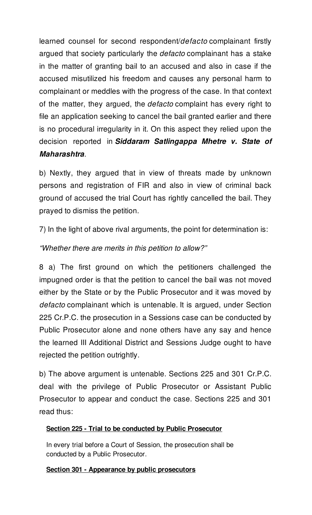learned counsel for second respondent/*defacto* complainant firstly argued that society particularly the *defacto* complainant has a stake in the matter of granting bail to an accused and also in case if the accused misutilized his freedom and causes any personal harm to complainant or meddles with the progress of the case. In that context of the matter, they argued, the *defacto* complaint has every right to file an application seeking to cancel the bail granted earlier and there is no procedural irregularity in it. On this aspect they relied upon the decision reported in *Siddaram Satlingappa Mhetre v. State of Maharashtra*.

b) Nextly, they argued that in view of threats made by unknown persons and registration of FIR and also in view of criminal back ground of accused the trial Court has rightly cancelled the bail. They prayed to dismiss the petition.

7) In the light of above rival arguments, the point for determination is:

# *"Whether there are merits in this petition to allow?"*

8 a) The first ground on which the petitioners challenged the impugned order is that the petition to cancel the bail was not moved either by the State or by the Public Prosecutor and it was moved by *defacto* complainant which is untenable. It is argued, under Section 225 Cr.P.C. the prosecution in a Sessions case can be conducted by Public Prosecutor alone and none others have any say and hence the learned III Additional District and Sessions Judge ought to have rejected the petition outrightly.

b) The above argument is untenable. Sections 225 and 301 Cr.P.C. deal with the privilege of Public Prosecutor or Assistant Public Prosecutor to appear and conduct the case. Sections 225 and 301 read thus:

# **Section 225 - Trial to be conducted by Public Prosecutor**

In every trial before a Court of Session, the prosecution shall be conducted by a Public Prosecutor.

## **Section 301 - Appearance by public prosecutors**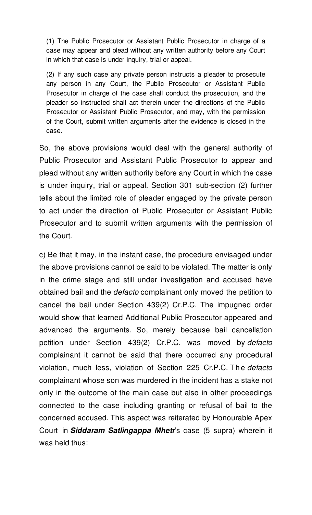(1) The Public Prosecutor or Assistant Public Prosecutor in charge of a case may appear and plead without any written authority before any Court in which that case is under inquiry, trial or appeal.

(2) If any such case any private person instructs a pleader to prosecute any person in any Court, the Public Prosecutor or Assistant Public Prosecutor in charge of the case shall conduct the prosecution, and the pleader so instructed shall act therein under the directions of the Public Prosecutor or Assistant Public Prosecutor, and may, with the permission of the Court, submit written arguments after the evidence is closed in the case.

So, the above provisions would deal with the general authority of Public Prosecutor and Assistant Public Prosecutor to appear and plead without any written authority before any Court in which the case is under inquiry, trial or appeal. Section 301 sub-section (2) further tells about the limited role of pleader engaged by the private person to act under the direction of Public Prosecutor or Assistant Public Prosecutor and to submit written arguments with the permission of the Court.

c) Be that it may, in the instant case, the procedure envisaged under the above provisions cannot be said to be violated. The matter is only in the crime stage and still under investigation and accused have obtained bail and the *defacto* complainant only moved the petition to cancel the bail under Section 439(2) Cr.P.C. The impugned order would show that learned Additional Public Prosecutor appeared and advanced the arguments. So, merely because bail cancellation petition under Section 439(2) Cr.P.C. was moved by *defacto* complainant it cannot be said that there occurred any procedural violation, much less, violation of Section 225 Cr.P.C. T h e *defacto* complainant whose son was murdered in the incident has a stake not only in the outcome of the main case but also in other proceedings connected to the case including granting or refusal of bail to the concerned accused. This aspect was reiterated by Honourable Apex Court in *Siddaram Satlingappa Mhetr*'s case (5 supra) wherein it was held thus: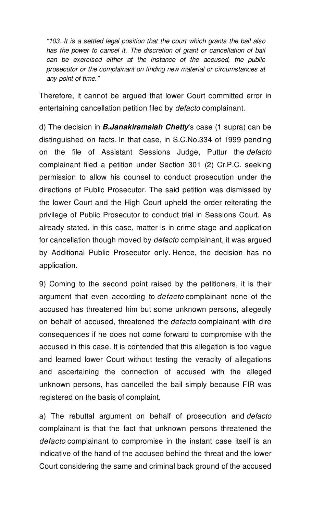*"103. It is a settled legal position that the court which grants the bail also has the power to cancel it. The discretion of grant or cancellation of bail can be exercised either at the instance of the accused, the public prosecutor or the complainant on finding new material or circumstances at any point of time."*

Therefore, it cannot be argued that lower Court committed error in entertaining cancellation petition filed by *defacto* complainant.

d) The decision in *B.Janakiramaiah Chetty*'s case (1 supra) can be distinguished on facts. In that case, in S.C.No.334 of 1999 pending on the file of Assistant Sessions Judge, Puttur the *defacto* complainant filed a petition under Section 301 (2) Cr.P.C. seeking permission to allow his counsel to conduct prosecution under the directions of Public Prosecutor. The said petition was dismissed by the lower Court and the High Court upheld the order reiterating the privilege of Public Prosecutor to conduct trial in Sessions Court. As already stated, in this case, matter is in crime stage and application for cancellation though moved by *defacto* complainant, it was argued by Additional Public Prosecutor only. Hence, the decision has no application.

9) Coming to the second point raised by the petitioners, it is their argument that even according to *defacto* complainant none of the accused has threatened him but some unknown persons, allegedly on behalf of accused, threatened the *defacto* complainant with dire consequences if he does not come forward to compromise with the accused in this case. It is contended that this allegation is too vague and learned lower Court without testing the veracity of allegations and ascertaining the connection of accused with the alleged unknown persons, has cancelled the bail simply because FIR was registered on the basis of complaint.

a) The rebuttal argument on behalf of prosecution and *defacto* complainant is that the fact that unknown persons threatened the *defacto* complainant to compromise in the instant case itself is an indicative of the hand of the accused behind the threat and the lower Court considering the same and criminal back ground of the accused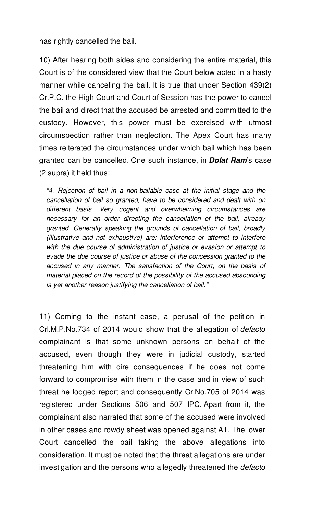has rightly cancelled the bail.

10) After hearing both sides and considering the entire material, this Court is of the considered view that the Court below acted in a hasty manner while canceling the bail. It is true that under Section 439(2) Cr.P.C. the High Court and Court of Session has the power to cancel the bail and direct that the accused be arrested and committed to the custody. However, this power must be exercised with utmost circumspection rather than neglection. The Apex Court has many times reiterated the circumstances under which bail which has been granted can be cancelled. One such instance, in *Dolat Ram*'s case (2 supra) it held thus:

*"4. Rejection of bail in a non-bailable case at the initial stage and the cancellation of bail so granted, have to be considered and dealt with on different basis. Very cogent and overwhelming circumstances are necessary for an order directing the cancellation of the bail, already granted. Generally speaking the grounds of cancellation of bail, broadly (illustrative and not exhaustive) are: interference or attempt to interfere with the due course of administration of justice or evasion or attempt to evade the due course of justice or abuse of the concession granted to the accused in any manner. The satisfaction of the Court, on the basis of material placed on the record of the possibility of the accused absconding is yet another reason justifying the cancellation of bail."*

11) Coming to the instant case, a perusal of the petition in Crl.M.P.No.734 of 2014 would show that the allegation of *defacto* complainant is that some unknown persons on behalf of the accused, even though they were in judicial custody, started threatening him with dire consequences if he does not come forward to compromise with them in the case and in view of such threat he lodged report and consequently Cr.No.705 of 2014 was registered under Sections 506 and 507 IPC. Apart from it, the complainant also narrated that some of the accused were involved in other cases and rowdy sheet was opened against A1. The lower Court cancelled the bail taking the above allegations into consideration. It must be noted that the threat allegations are under investigation and the persons who allegedly threatened the *defacto*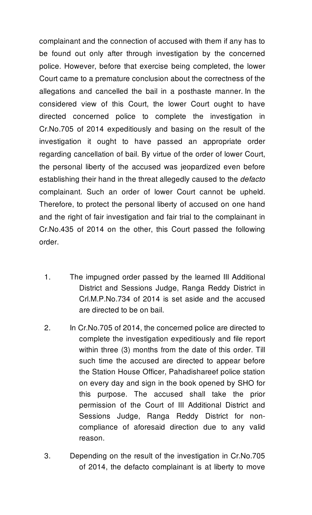complainant and the connection of accused with them if any has to be found out only after through investigation by the concerned police. However, before that exercise being completed, the lower Court came to a premature conclusion about the correctness of the allegations and cancelled the bail in a posthaste manner. In the considered view of this Court, the lower Court ought to have directed concerned police to complete the investigation in Cr.No.705 of 2014 expeditiously and basing on the result of the investigation it ought to have passed an appropriate order regarding cancellation of bail. By virtue of the order of lower Court, the personal liberty of the accused was jeopardized even before establishing their hand in the threat allegedly caused to the *defacto* complainant. Such an order of lower Court cannot be upheld. Therefore, to protect the personal liberty of accused on one hand and the right of fair investigation and fair trial to the complainant in Cr.No.435 of 2014 on the other, this Court passed the following order.

- 1. The impugned order passed by the learned III Additional District and Sessions Judge, Ranga Reddy District in Crl.M.P.No.734 of 2014 is set aside and the accused are directed to be on bail.
- 2. In Cr.No.705 of 2014, the concerned police are directed to complete the investigation expeditiously and file report within three (3) months from the date of this order. Till such time the accused are directed to appear before the Station House Officer, Pahadishareef police station on every day and sign in the book opened by SHO for this purpose. The accused shall take the prior permission of the Court of III Additional District and Sessions Judge, Ranga Reddy District for noncompliance of aforesaid direction due to any valid reason.
- 3. Depending on the result of the investigation in Cr.No.705 of 2014, the defacto complainant is at liberty to move